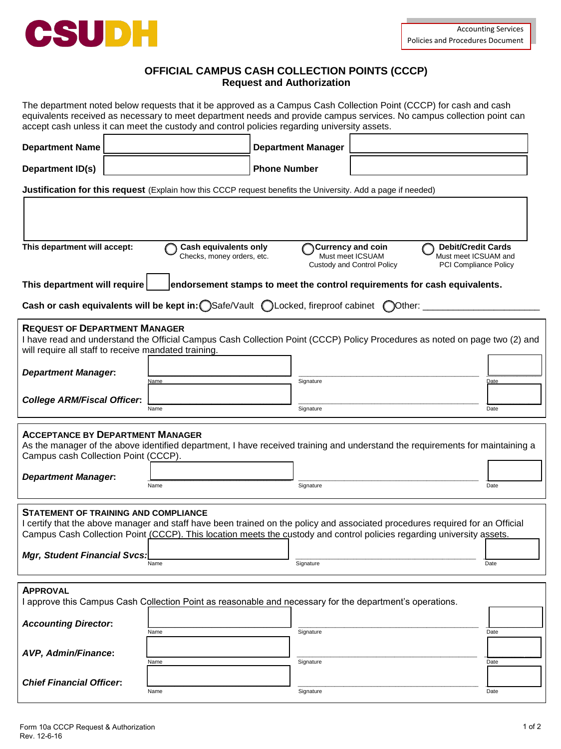

# **OFFICIAL CAMPUS CASH COLLECTION POINTS (CCCP) Request and Authorization**

The department noted below requests that it be approved as a Campus Cash Collection Point (CCCP) for cash and cash equivalents received as necessary to meet department needs and provide campus services. No campus collection point can accept cash unless it can meet the custody and control policies regarding university assets.

| <b>Department Name</b>                                                                                                                                                                                                                                                                                 |              | <b>Department Manager</b> |  |              |
|--------------------------------------------------------------------------------------------------------------------------------------------------------------------------------------------------------------------------------------------------------------------------------------------------------|--------------|---------------------------|--|--------------|
| Department ID(s)                                                                                                                                                                                                                                                                                       |              | <b>Phone Number</b>       |  |              |
| Justification for this request (Explain how this CCCP request benefits the University. Add a page if needed)                                                                                                                                                                                           |              |                           |  |              |
|                                                                                                                                                                                                                                                                                                        |              |                           |  |              |
| This department will accept:<br><b>Cash equivalents only</b><br><b>Debit/Credit Cards</b><br><b>Currency and coin</b><br>Must meet ICSUAM<br>Must meet ICSUAM and<br>Checks, money orders, etc.<br>Custody and Control Policy<br><b>PCI Compliance Policy</b>                                          |              |                           |  |              |
| This department will require<br>endorsement stamps to meet the control requirements for cash equivalents.                                                                                                                                                                                              |              |                           |  |              |
| Cash or cash equivalents will be kept in: Safe/Vault CLocked, fireproof cabinet COther:                                                                                                                                                                                                                |              |                           |  |              |
| <b>REQUEST OF DEPARTMENT MANAGER</b><br>I have read and understand the Official Campus Cash Collection Point (CCCP) Policy Procedures as noted on page two (2) and<br>will require all staff to receive mandated training.                                                                             |              |                           |  |              |
| <b>Department Manager:</b>                                                                                                                                                                                                                                                                             | Name         | Signature                 |  | Date         |
| <b>College ARM/Fiscal Officer:</b>                                                                                                                                                                                                                                                                     | Name         | Signature                 |  | Date         |
| <b>ACCEPTANCE BY DEPARTMENT MANAGER</b><br>As the manager of the above identified department, I have received training and understand the requirements for maintaining a<br>Campus cash Collection Point (CCCP).                                                                                       |              |                           |  |              |
| <b>Department Manager:</b>                                                                                                                                                                                                                                                                             |              |                           |  |              |
|                                                                                                                                                                                                                                                                                                        | Name         | Signature                 |  | Date         |
| <b>STATEMENT OF TRAINING AND COMPLIANCE</b><br>I certify that the above manager and staff have been trained on the policy and associated procedures required for an Official<br>Campus Cash Collection Point (CCCP). This location meets the custody and control policies regarding university assets. |              |                           |  |              |
| <b>Mgr, Student Financial Svcs:</b>                                                                                                                                                                                                                                                                    | Name         | Signature                 |  | Date         |
| <b>APPROVAL</b><br>approve this Campus Cash Collection Point as reasonable and necessary for the department's operations.                                                                                                                                                                              |              |                           |  |              |
| <b>Accounting Director:</b>                                                                                                                                                                                                                                                                            |              |                           |  |              |
| AVP, Admin/Finance:                                                                                                                                                                                                                                                                                    | Name<br>Name | Signature<br>Signature    |  | Date<br>Date |
| <b>Chief Financial Officer:</b>                                                                                                                                                                                                                                                                        | Name         | Signature                 |  | Date         |
|                                                                                                                                                                                                                                                                                                        |              |                           |  |              |